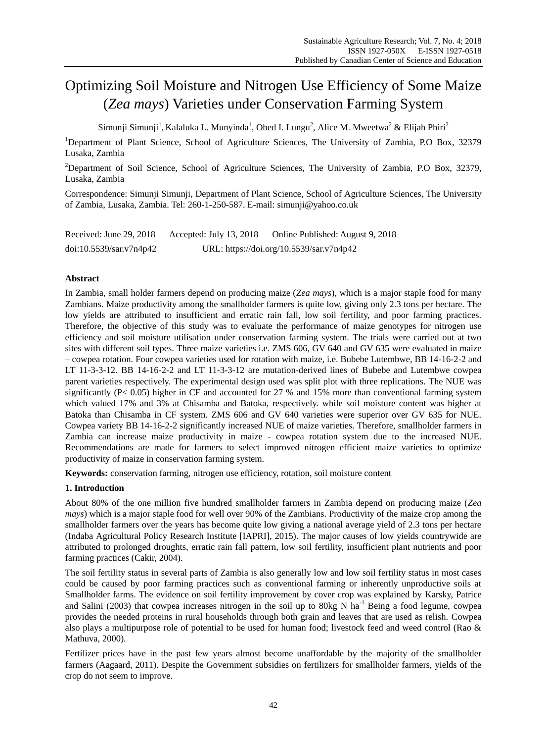# Optimizing Soil Moisture and Nitrogen Use Efficiency of Some Maize (*Zea mays*) Varieties under Conservation Farming System

Simunji Simunji<sup>1</sup>, Kalaluka L. Munyinda<sup>1</sup>, Obed I. Lungu<sup>2</sup>, Alice M. Mweetwa<sup>2</sup> & Elijah Phiri<sup>2</sup>

<sup>1</sup>Department of Plant Science, School of Agriculture Sciences, The University of Zambia, P.O Box, 32379 Lusaka, Zambia

<sup>2</sup>Department of Soil Science, School of Agriculture Sciences, The University of Zambia, P.O Box, 32379, Lusaka, Zambia

Correspondence: Simunji Simunji, Department of Plant Science, School of Agriculture Sciences, The University of Zambia, Lusaka, Zambia. Tel: 260-1-250-587. E-mail: simunji@yahoo.co.uk

Received: June 29, 2018 Accepted: July 13, 2018 Online Published: August 9, 2018 doi:10.5539/sar.v7n4p42 URL: https://doi.org/10.5539/sar.v7n4p42

# **Abstract**

In Zambia, small holder farmers depend on producing maize (*Zea mays*), which is a major staple food for many Zambians. Maize productivity among the smallholder farmers is quite low, giving only 2.3 tons per hectare. The low yields are attributed to insufficient and erratic rain fall, low soil fertility, and poor farming practices. Therefore, the objective of this study was to evaluate the performance of maize genotypes for nitrogen use efficiency and soil moisture utilisation under conservation farming system. The trials were carried out at two sites with different soil types. Three maize varieties i.e. ZMS 606, GV 640 and GV 635 were evaluated in maize – cowpea rotation. Four cowpea varieties used for rotation with maize, i.e. Bubebe Lutembwe, BB 14-16-2-2 and LT 11-3-3-12. BB 14-16-2-2 and LT 11-3-3-12 are mutation-derived lines of Bubebe and Lutembwe cowpea parent varieties respectively. The experimental design used was split plot with three replications. The NUE was significantly (P< 0.05) higher in CF and accounted for 27 % and 15% more than conventional farming system which valued 17% and 3% at Chisamba and Batoka, respectively. while soil moisture content was higher at Batoka than Chisamba in CF system. ZMS 606 and GV 640 varieties were superior over GV 635 for NUE. Cowpea variety BB 14-16-2-2 significantly increased NUE of maize varieties. Therefore, smallholder farmers in Zambia can increase maize productivity in maize - cowpea rotation system due to the increased NUE. Recommendations are made for farmers to select improved nitrogen efficient maize varieties to optimize productivity of maize in conservation farming system.

**Keywords:** conservation farming, nitrogen use efficiency, rotation, soil moisture content

# **1. Introduction**

About 80% of the one million five hundred smallholder farmers in Zambia depend on producing maize (*Zea mays*) which is a major staple food for well over 90% of the Zambians. Productivity of the maize crop among the smallholder farmers over the years has become quite low giving a national average yield of 2.3 tons per hectare (Indaba Agricultural Policy Research Institute [IAPRI], 2015). The major causes of low yields countrywide are attributed to prolonged droughts, erratic rain fall pattern, low soil fertility, insufficient plant nutrients and poor farming practices (Cakir, 2004).

The soil fertility status in several parts of Zambia is also generally low and low soil fertility status in most cases could be caused by poor farming practices such as conventional farming or inherently unproductive soils at Smallholder farms. The evidence on soil fertility improvement by cover crop was explained by Karsky, Patrice and Salini (2003) that cowpea increases nitrogen in the soil up to 80kg N ha<sup>-1.</sup> Being a food legume, cowpea provides the needed proteins in rural households through both grain and leaves that are used as relish. Cowpea also plays a multipurpose role of potential to be used for human food; livestock feed and weed control (Rao & Mathuva, 2000).

Fertilizer prices have in the past few years almost become unaffordable by the majority of the smallholder farmers (Aagaard, 2011). Despite the Government subsidies on fertilizers for smallholder farmers, yields of the crop do not seem to improve.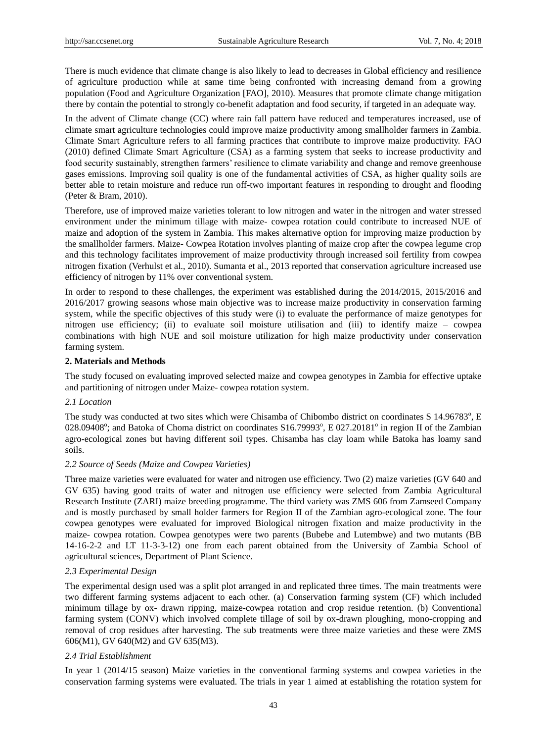There is much evidence that climate change is also likely to lead to decreases in Global efficiency and resilience of agriculture production while at same time being confronted with increasing demand from a growing population (Food and Agriculture Organization [FAO], 2010). Measures that promote climate change mitigation there by contain the potential to strongly co-benefit adaptation and food security, if targeted in an adequate way.

In the advent of Climate change (CC) where rain fall pattern have reduced and temperatures increased, use of climate smart agriculture technologies could improve maize productivity among smallholder farmers in Zambia. Climate Smart Agriculture refers to all farming practices that contribute to improve maize productivity. FAO (2010) defined Climate Smart Agriculture (CSA) as a farming system that seeks to increase productivity and food security sustainably, strengthen farmers' resilience to climate variability and change and remove greenhouse gases emissions. Improving soil quality is one of the fundamental activities of CSA, as higher quality soils are better able to retain moisture and reduce run off-two important features in responding to drought and flooding (Peter & Bram, 2010).

Therefore, use of improved maize varieties tolerant to low nitrogen and water in the nitrogen and water stressed environment under the minimum tillage with maize- cowpea rotation could contribute to increased NUE of maize and adoption of the system in Zambia. This makes alternative option for improving maize production by the smallholder farmers. Maize- Cowpea Rotation involves planting of maize crop after the cowpea legume crop and this technology facilitates improvement of maize productivity through increased soil fertility from cowpea nitrogen fixation (Verhulst et al., 2010). Sumanta et al., 2013 reported that conservation agriculture increased use efficiency of nitrogen by 11% over conventional system.

In order to respond to these challenges, the experiment was established during the 2014/2015, 2015/2016 and 2016/2017 growing seasons whose main objective was to increase maize productivity in conservation farming system, while the specific objectives of this study were (i) to evaluate the performance of maize genotypes for nitrogen use efficiency; (ii) to evaluate soil moisture utilisation and (iii) to identify maize – cowpea combinations with high NUE and soil moisture utilization for high maize productivity under conservation farming system.

## **2. Materials and Methods**

The study focused on evaluating improved selected maize and cowpea genotypes in Zambia for effective uptake and partitioning of nitrogen under Maize- cowpea rotation system.

## *2.1 Location*

The study was conducted at two sites which were Chisamba of Chibombo district on coordinates S 14.96783°, E 028.09408°; and Batoka of Choma district on coordinates S16.79993°, E 027.20181° in region II of the Zambian agro-ecological zones but having different soil types. Chisamba has clay loam while Batoka has loamy sand soils.

## *2.2 Source of Seeds (Maize and Cowpea Varieties)*

Three maize varieties were evaluated for water and nitrogen use efficiency. Two (2) maize varieties (GV 640 and GV 635) having good traits of water and nitrogen use efficiency were selected from Zambia Agricultural Research Institute (ZARI) maize breeding programme. The third variety was ZMS 606 from Zamseed Company and is mostly purchased by small holder farmers for Region II of the Zambian agro-ecological zone. The four cowpea genotypes were evaluated for improved Biological nitrogen fixation and maize productivity in the maize- cowpea rotation. Cowpea genotypes were two parents (Bubebe and Lutembwe) and two mutants (BB 14-16-2-2 and LT 11-3-3-12) one from each parent obtained from the University of Zambia School of agricultural sciences, Department of Plant Science.

# *2.3 Experimental Design*

The experimental design used was a split plot arranged in and replicated three times. The main treatments were two different farming systems adjacent to each other. (a) Conservation farming system (CF) which included minimum tillage by ox- drawn ripping, maize-cowpea rotation and crop residue retention. (b) Conventional farming system (CONV) which involved complete tillage of soil by ox-drawn ploughing, mono-cropping and removal of crop residues after harvesting. The sub treatments were three maize varieties and these were ZMS 606(M1), GV 640(M2) and GV 635(M3).

## *2.4 Trial Establishment*

In year 1 (2014/15 season) Maize varieties in the conventional farming systems and cowpea varieties in the conservation farming systems were evaluated. The trials in year 1 aimed at establishing the rotation system for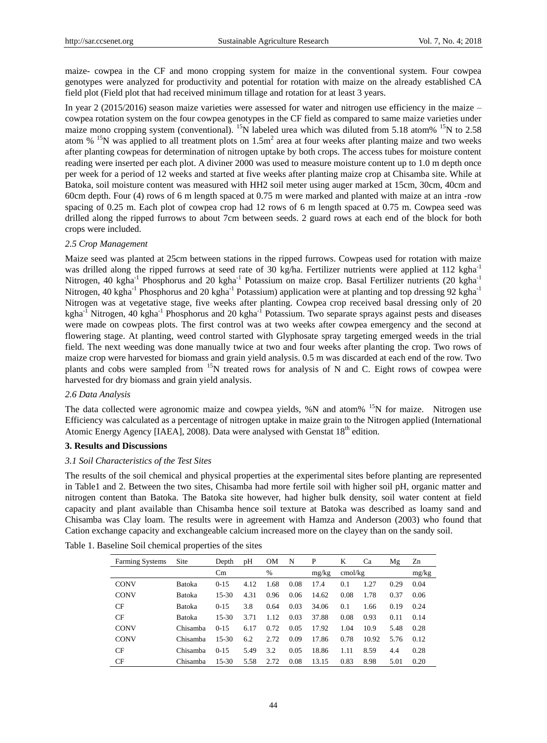maize- cowpea in the CF and mono cropping system for maize in the conventional system. Four cowpea genotypes were analyzed for productivity and potential for rotation with maize on the already established CA field plot (Field plot that had received minimum tillage and rotation for at least 3 years.

In year 2 (2015/2016) season maize varieties were assessed for water and nitrogen use efficiency in the maize – cowpea rotation system on the four cowpea genotypes in the CF field as compared to same maize varieties under maize mono cropping system (conventional). <sup>15</sup>N labeled urea which was diluted from 5.18 atom% <sup>15</sup>N to 2.58 atom  $\%$  <sup>15</sup>N was applied to all treatment plots on 1.5m<sup>2</sup> area at four weeks after planting maize and two weeks after planting cowpeas for determination of nitrogen uptake by both crops. The access tubes for moisture content reading were inserted per each plot. A diviner 2000 was used to measure moisture content up to 1.0 m depth once per week for a period of 12 weeks and started at five weeks after planting maize crop at Chisamba site. While at Batoka, soil moisture content was measured with HH2 soil meter using auger marked at 15cm, 30cm, 40cm and 60cm depth. Four (4) rows of 6 m length spaced at 0.75 m were marked and planted with maize at an intra -row spacing of 0.25 m. Each plot of cowpea crop had 12 rows of 6 m length spaced at 0.75 m. Cowpea seed was drilled along the ripped furrows to about 7cm between seeds. 2 guard rows at each end of the block for both crops were included.

#### *2.5 Crop Management*

Maize seed was planted at 25cm between stations in the ripped furrows. Cowpeas used for rotation with maize was drilled along the ripped furrows at seed rate of 30 kg/ha. Fertilizer nutrients were applied at 112 kgha<sup>-1</sup> Nitrogen, 40 kgha<sup>-1</sup> Phosphorus and 20 kgha<sup>-1</sup> Potassium on maize crop. Basal Fertilizer nutrients (20 kgha<sup>-1</sup> Nitrogen, 40 kgha<sup>-1</sup> Phosphorus and 20 kgha<sup>-1</sup> Potassium) application were at planting and top dressing 92 kgha<sup>-1</sup> Nitrogen was at vegetative stage, five weeks after planting. Cowpea crop received basal dressing only of 20 kgha<sup>-1</sup> Nitrogen, 40 kgha<sup>-1</sup> Phosphorus and 20 kgha<sup>-1</sup> Potassium. Two separate sprays against pests and diseases were made on cowpeas plots. The first control was at two weeks after cowpea emergency and the second at flowering stage. At planting, weed control started with Glyphosate spray targeting emerged weeds in the trial field. The next weeding was done manually twice at two and four weeks after planting the crop. Two rows of maize crop were harvested for biomass and grain yield analysis. 0.5 m was discarded at each end of the row. Two plants and cobs were sampled from  $15N$  treated rows for analysis of N and C. Eight rows of cowpea were harvested for dry biomass and grain yield analysis.

## *2.6 Data Analysis*

The data collected were agronomic maize and cowpea yields, %N and atom% <sup>15</sup>N for maize. Nitrogen use Efficiency was calculated as a percentage of nitrogen uptake in maize grain to the Nitrogen applied (International Atomic Energy Agency [IAEA], 2008). Data were analysed with Genstat 18<sup>th</sup> edition.

#### **3. Results and Discussions**

#### *3.1 Soil Characteristics of the Test Sites*

The results of the soil chemical and physical properties at the experimental sites before planting are represented in Table1 and 2. Between the two sites, Chisamba had more fertile soil with higher soil pH, organic matter and nitrogen content than Batoka. The Batoka site however, had higher bulk density, soil water content at field capacity and plant available than Chisamba hence soil texture at Batoka was described as loamy sand and Chisamba was Clay loam. The results were in agreement with Hamza and Anderson (2003) who found that Cation exchange capacity and exchangeable calcium increased more on the clayey than on the sandy soil.

| <b>Farming Systems</b> | Site          | Depth     | pН   | OΜ   | N    | P     | K       | Ca    | Mg   | Zn    |
|------------------------|---------------|-----------|------|------|------|-------|---------|-------|------|-------|
|                        |               | Cm        |      | $\%$ |      | mg/kg | cmol/kg |       |      | mg/kg |
| <b>CONV</b>            | <b>Batoka</b> | $0 - 15$  | 4.12 | 1.68 | 0.08 | 17.4  | 0.1     | 1.27  | 0.29 | 0.04  |
| <b>CONV</b>            | <b>Batoka</b> | $15 - 30$ | 4.31 | 0.96 | 0.06 | 14.62 | 0.08    | 1.78  | 0.37 | 0.06  |
| CF                     | <b>Batoka</b> | $0 - 15$  | 3.8  | 0.64 | 0.03 | 34.06 | 0.1     | 1.66  | 0.19 | 0.24  |
| CF                     | <b>Batoka</b> | $15 - 30$ | 3.71 | 1.12 | 0.03 | 37.88 | 0.08    | 0.93  | 0.11 | 0.14  |
| <b>CONV</b>            | Chisamba      | $0 - 1.5$ | 6.17 | 0.72 | 0.05 | 17.92 | 1.04    | 10.9  | 5.48 | 0.28  |
| <b>CONV</b>            | Chisamba      | $15 - 30$ | 6.2  | 2.72 | 0.09 | 17.86 | 0.78    | 10.92 | 5.76 | 0.12  |
| CF                     | Chisamba      | $0 - 15$  | 5.49 | 3.2  | 0.05 | 18.86 | 1.11    | 8.59  | 4.4  | 0.28  |
| CF                     | Chisamba      | $15 - 30$ | 5.58 | 2.72 | 0.08 | 13.15 | 0.83    | 8.98  | 5.01 | 0.20  |

Table 1. Baseline Soil chemical properties of the sites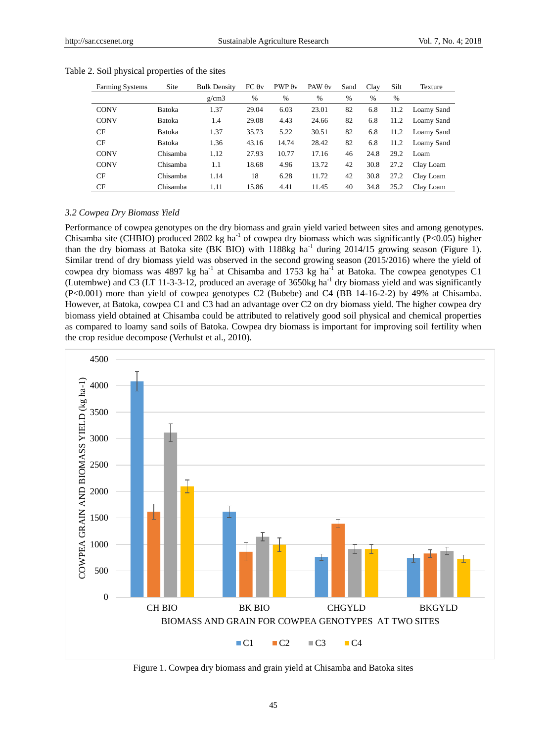| <b>Farming Systems</b> | Site          | <b>Bulk Density</b> | FC 0v | $PWP \theta v$ | PAW $\theta$ v | Sand | Clay | Silt | Texture    |
|------------------------|---------------|---------------------|-------|----------------|----------------|------|------|------|------------|
|                        |               | g/cm3               | %     | $\%$           | $\%$           | %    | $\%$ | $\%$ |            |
| <b>CONV</b>            | <b>Batoka</b> | 1.37                | 29.04 | 6.03           | 23.01          | 82   | 6.8  | 11.2 | Loamy Sand |
| <b>CONV</b>            | Batoka        | 1.4                 | 29.08 | 4.43           | 24.66          | 82   | 6.8  | 11.2 | Loamy Sand |
| CF                     | <b>Batoka</b> | 1.37                | 35.73 | 5.22           | 30.51          | 82   | 6.8  | 11.2 | Loamy Sand |
| CF                     | <b>Batoka</b> | 1.36                | 43.16 | 14.74          | 28.42          | 82   | 6.8  | 11.2 | Loamy Sand |
| <b>CONV</b>            | Chisamba      | 1.12                | 27.93 | 10.77          | 17.16          | 46   | 24.8 | 29.2 | Loam       |
| <b>CONV</b>            | Chisamba      | 1.1                 | 18.68 | 4.96           | 13.72          | 42   | 30.8 | 27.2 | Clay Loam  |
| CF                     | Chisamba      | 1.14                | 18    | 6.28           | 11.72          | 42   | 30.8 | 27.2 | Clay Loam  |
| CF                     | Chisamba      | 1.11                | 15.86 | 4.41           | 11.45          | 40   | 34.8 | 25.2 | Clay Loam  |

Table 2. Soil physical properties of the sites

#### *3.2 Cowpea Dry Biomass Yield*

Performance of cowpea genotypes on the dry biomass and grain yield varied between sites and among genotypes. Chisamba site (CHBIO) produced 2802 kg ha<sup>-1</sup> of cowpea dry biomass which was significantly (P<0.05) higher than the dry biomass at Batoka site (BK BIO) with  $1188$ kg ha<sup>-1</sup> during 2014/15 growing season (Figure 1). Similar trend of dry biomass yield was observed in the second growing season (2015/2016) where the yield of cowpea dry biomass was 4897 kg ha<sup>-1</sup> at Chisamba and 1753 kg ha<sup>-1</sup> at Batoka. The cowpea genotypes C1 (Lutembwe) and C3 (LT 11-3-3-12, produced an average of 3650kg ha<sup>-1</sup> dry biomass yield and was significantly (P<0.001) more than yield of cowpea genotypes C2 (Bubebe) and C4 (BB 14-16-2-2) by 49% at Chisamba. However, at Batoka, cowpea C1 and C3 had an advantage over C2 on dry biomass yield. The higher cowpea dry biomass yield obtained at Chisamba could be attributed to relatively good soil physical and chemical properties as compared to loamy sand soils of Batoka. Cowpea dry biomass is important for improving soil fertility when the crop residue decompose (Verhulst et al., 2010).



Figure 1. Cowpea dry biomass and grain yield at Chisamba and Batoka sites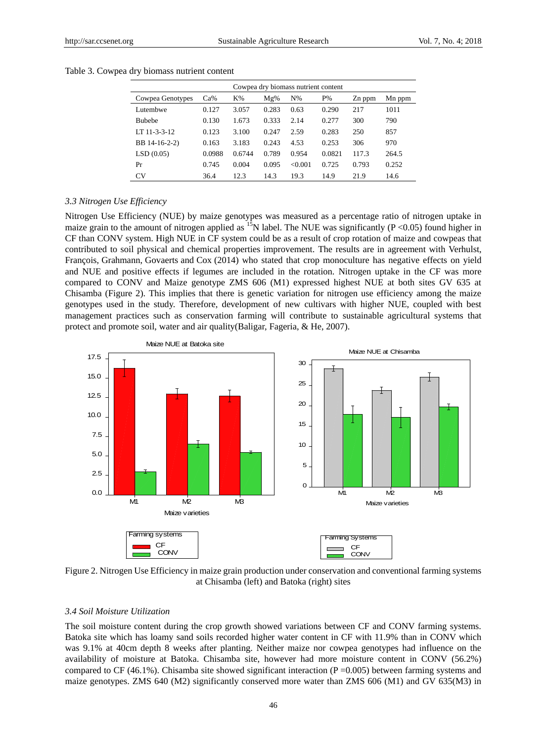| Cowpea dry biomass nutrient content |        |        |        |         |        |        |        |  |  |
|-------------------------------------|--------|--------|--------|---------|--------|--------|--------|--|--|
| Cowpea Genotypes                    | $Ca\%$ | $K\%$  | $Mg\%$ | $N\%$   | $P\%$  | Zn ppm | Mn ppm |  |  |
| Lutembwe                            | 0.127  | 3.057  | 0.283  | 0.63    | 0.290  | 217    | 1011   |  |  |
| <b>Bubebe</b>                       | 0.130  | 1.673  | 0.333  | 2.14    | 0.277  | 300    | 790    |  |  |
| LT 11-3-3-12                        | 0.123  | 3.100  | 0.247  | 2.59    | 0.283  | 250    | 857    |  |  |
| BB 14-16-2-2)                       | 0.163  | 3.183  | 0.243  | 4.53    | 0.253  | 306    | 970    |  |  |
| LSD(0.05)                           | 0.0988 | 0.6744 | 0.789  | 0.954   | 0.0821 | 117.3  | 264.5  |  |  |
| Pr                                  | 0.745  | 0.004  | 0.095  | < 0.001 | 0.725  | 0.793  | 0.252  |  |  |
| <b>CV</b>                           | 36.4   | 12.3   | 14.3   | 19.3    | 14.9   | 21.9   | 14.6   |  |  |

Table 3. Cowpea dry biomass nutrient content

#### *3.3 Nitrogen Use Efficiency*

Nitrogen Use Efficiency (NUE) by maize genotypes was measured as a percentage ratio of nitrogen uptake in maize grain to the amount of nitrogen applied as  $15$ N label. The NUE was significantly (P <0.05) found higher in CF than CONV system. High NUE in CF system could be as a result of crop rotation of maize and cowpeas that contributed to soil physical and chemical properties improvement. The results are in agreement with Verhulst, Fran  $\phi$ is, Grahmann, Govaerts and Cox (2014) who stated that crop monoculture has negative effects on yield and NUE and positive effects if legumes are included in the rotation. Nitrogen uptake in the CF was more compared to CONV and Maize genotype ZMS 606 (M1) expressed highest NUE at both sites GV 635 at Chisamba (Figure 2). This implies that there is genetic variation for nitrogen use efficiency among the maize genotypes used in the study. Therefore, development of new cultivars with higher NUE, coupled with best management practices such as conservation farming will contribute to sustainable agricultural systems that protect and promote soil, water and air quality(Baligar, Fageria, & He, 2007).



Figure 2. Nitrogen Use Efficiency in maize grain production under conservation and conventional farming systems at Chisamba (left) and Batoka (right) sites

#### *3.4 Soil Moisture Utilization*

The soil moisture content during the crop growth showed variations between CF and CONV farming systems. Batoka site which has loamy sand soils recorded higher water content in CF with 11.9% than in CONV which was 9.1% at 40cm depth 8 weeks after planting. Neither maize nor cowpea genotypes had influence on the availability of moisture at Batoka. Chisamba site, however had more moisture content in CONV (56.2%) compared to CF (46.1%). Chisamba site showed significant interaction (P =  $0.005$ ) between farming systems and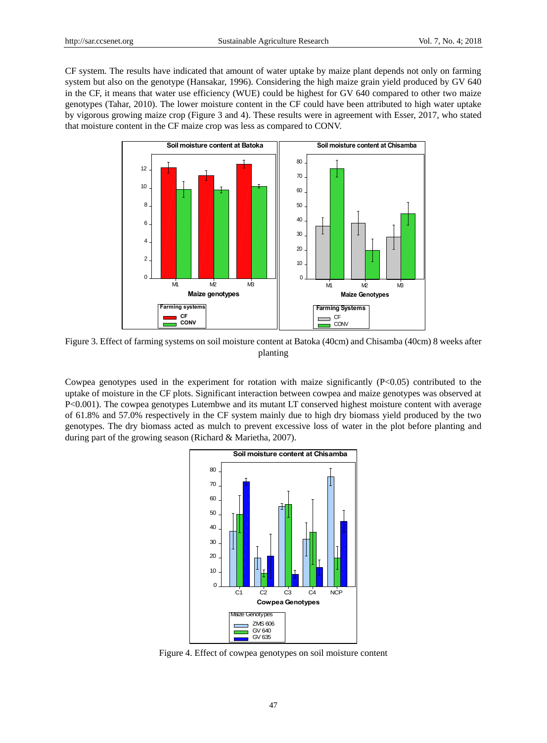CF system. The results have indicated that amount of water uptake by maize plant depends not only on farming system but also on the genotype (Hansakar, 1996). Considering the high maize grain yield produced by GV 640 in the CF, it means that water use efficiency (WUE) could be highest for GV 640 compared to other two maize genotypes (Tahar, 2010). The lower moisture content in the CF could have been attributed to high water uptake by vigorous growing maize crop (Figure 3 and 4). These results were in agreement with Esser, 2017, who stated that moisture content in the CF maize crop was less as compared to CONV.



Figure 3. Effect of farming systems on soil moisture content at Batoka (40cm) and Chisamba (40cm) 8 weeks after planting

Cowpea genotypes used in the experiment for rotation with maize significantly  $(P<0.05)$  contributed to the uptake of moisture in the CF plots. Significant interaction between cowpea and maize genotypes was observed at P<0.001). The cowpea genotypes Lutembwe and its mutant LT conserved highest moisture content with average of 61.8% and 57.0% respectively in the CF system mainly due to high dry biomass yield produced by the two genotypes. The dry biomass acted as mulch to prevent excessive loss of water in the plot before planting and during part of the growing season (Richard & Marietha, 2007).



Figure 4. Effect of cowpea genotypes on soil moisture content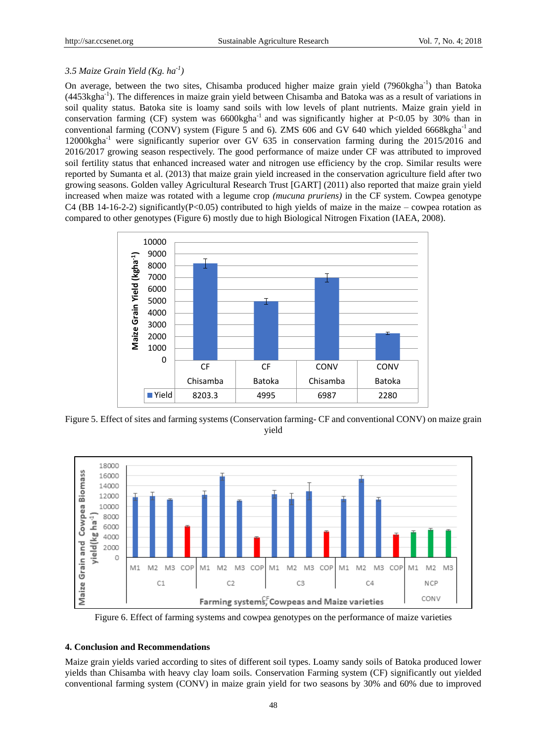# *3.5 Maize Grain Yield (Kg. ha-1 )*

On average, between the two sites, Chisamba produced higher maize grain yield (7960kgha<sup>-1</sup>) than Batoka (4453kgha<sup>-1</sup>). The differences in maize grain yield between Chisamba and Batoka was as a result of variations in soil quality status. Batoka site is loamy sand soils with low levels of plant nutrients. Maize grain yield in conservation farming (CF) system was  $6600$ kgha<sup>-1</sup> and was significantly higher at P<0.05 by 30% than in conventional farming (CONV) system (Figure 5 and 6). ZMS 606 and GV 640 which yielded 6668kgha $^{-1}$  and 12000kgha-1 were significantly superior over GV 635 in conservation farming during the 2015/2016 and 2016/2017 growing season respectively. The good performance of maize under CF was attributed to improved soil fertility status that enhanced increased water and nitrogen use efficiency by the crop. Similar results were reported by Sumanta et al. (2013) that maize grain yield increased in the conservation agriculture field after two growing seasons. Golden valley Agricultural Research Trust [GART] (2011) also reported that maize grain yield increased when maize was rotated with a legume crop *(mucuna pruriens)* in the CF system. Cowpea genotype C4 (BB 14-16-2-2) significantly(P<0.05) contributed to high yields of maize in the maize – cowpea rotation as compared to other genotypes (Figure 6) mostly due to high Biological Nitrogen Fixation (IAEA, 2008).



Figure 5. Effect of sites and farming systems (Conservation farming- CF and conventional CONV) on maize grain yield



Figure 6. Effect of farming systems and cowpea genotypes on the performance of maize varieties

### **4. Conclusion and Recommendations**

Maize grain yields varied according to sites of different soil types. Loamy sandy soils of Batoka produced lower yields than Chisamba with heavy clay loam soils. Conservation Farming system (CF) significantly out yielded conventional farming system (CONV) in maize grain yield for two seasons by 30% and 60% due to improved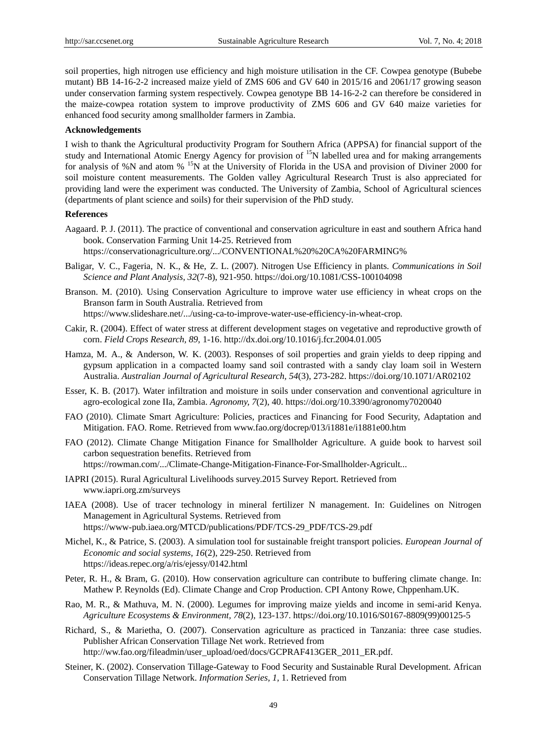soil properties, high nitrogen use efficiency and high moisture utilisation in the CF. Cowpea genotype (Bubebe mutant) BB 14-16-2-2 increased maize yield of ZMS 606 and GV 640 in 2015/16 and 2061/17 growing season under conservation farming system respectively. Cowpea genotype BB 14-16-2-2 can therefore be considered in the maize-cowpea rotation system to improve productivity of ZMS 606 and GV 640 maize varieties for enhanced food security among smallholder farmers in Zambia.

#### **Acknowledgements**

I wish to thank the Agricultural productivity Program for Southern Africa (APPSA) for financial support of the study and International Atomic Energy Agency for provision of <sup>15</sup>N labelled urea and for making arrangements for analysis of %N and atom % <sup>15</sup>N at the University of Florida in the USA and provision of Diviner 2000 for soil moisture content measurements. The Golden valley Agricultural Research Trust is also appreciated for providing land were the experiment was conducted. The University of Zambia, School of Agricultural sciences (departments of plant science and soils) for their supervision of the PhD study.

# **References**

Aagaard. P. J. (2011). The practice of conventional and conservation agriculture in east and southern Africa hand book. Conservation Farming Unit 14-25. Retrieved from https://conservationagriculture.org/.../CONVENTIONAL%20%20CA%20FARMING%

- Baligar, V. C., Fageria, N. K., & He, Z. L. (2007). Nitrogen Use Efficiency in plants. *Communications in Soil Science and Plant Analysis, 32*(7-8), 921-950. https://doi.org/10.1081/CSS-100104098
- Branson. M. (2010). Using Conservation Agriculture to improve water use efficiency in wheat crops on the Branson farm in South Australia. Retrieved from

https://www.slideshare.net/.../using-ca-to-improve-water-use-efficiency-in-wheat-crop*.* 

- Cakir, R. (2004). Effect of water stress at different development stages on vegetative and reproductive growth of corn. *Field Crops Research, 89*, 1-16. http://dx.doi.org/10.1016/j.fcr.2004.01.005
- Hamza, M. A., & Anderson, W. K. (2003). Responses of soil properties and grain yields to deep ripping and gypsum application in a compacted loamy sand soil contrasted with a sandy clay loam soil in Western Australia. *Australian Journal of Agricultural Research, 54*(3), 273-282. https://doi.org/10.1071/AR02102
- Esser, K. B. (2017). Water infiltration and moisture in soils under conservation and conventional agriculture in agro-ecological zone IIa, Zambia. *Agronomy, 7*(2), 40. https://doi.org/10.3390/agronomy7020040
- FAO (2010). Climate Smart Agriculture: Policies, practices and Financing for Food Security, Adaptation and Mitigation. FAO. Rome. Retrieved from www.fao.org/docrep/013/i1881e/i1881e00.htm
- FAO (2012). Climate Change Mitigation Finance for Smallholder Agriculture. A guide book to harvest soil carbon sequestration benefits. Retrieved from https://rowman.com/.../Climate-Change-Mitigation-Finance-For-Smallholder-Agricult*...*
- IAPRI (2015). Rural Agricultural Livelihoods survey.2015 Survey Report. Retrieved from www.iapri.org.zm/surveys
- IAEA (2008). Use of tracer technology in mineral fertilizer N management. In: Guidelines on Nitrogen Management in Agricultural Systems. Retrieved from https://www-pub.iaea.org/MTCD/publications/PDF/TCS-29\_PDF/TCS-29.pdf
- Michel, K., & Patrice, S. (2003). A simulation tool for sustainable freight transport policies. *European Journal of Economic and social systems, 16*(2), 229-250. Retrieved from https://ideas.repec.org/a/ris/ejessy/0142.html
- Peter, R. H., & Bram, G. (2010). How conservation agriculture can contribute to buffering climate change. In: Mathew P. Reynolds (Ed). Climate Change and Crop Production. CPI Antony Rowe, Chppenham.UK.
- Rao, M. R., & Mathuva, M. N. (2000). Legumes for improving maize yields and income in semi-arid Kenya. *Agriculture Ecosystems & Environment, 78*(2), 123-137. https://doi.org/10.1016/S0167-8809(99)00125-5
- Richard, S., & Marietha, O. (2007). Conservation agriculture as practiced in Tanzania: three case studies. Publisher African Conservation Tillage Net work. Retrieved from http://ww.fao.org/fileadmin/user\_upload/oed/docs/GCPRAF413GER\_2011\_ER.pdf.
- Steiner, K. (2002). Conservation Tillage-Gateway to Food Security and Sustainable Rural Development. African Conservation Tillage Network. *Information Series, 1,* 1. Retrieved from